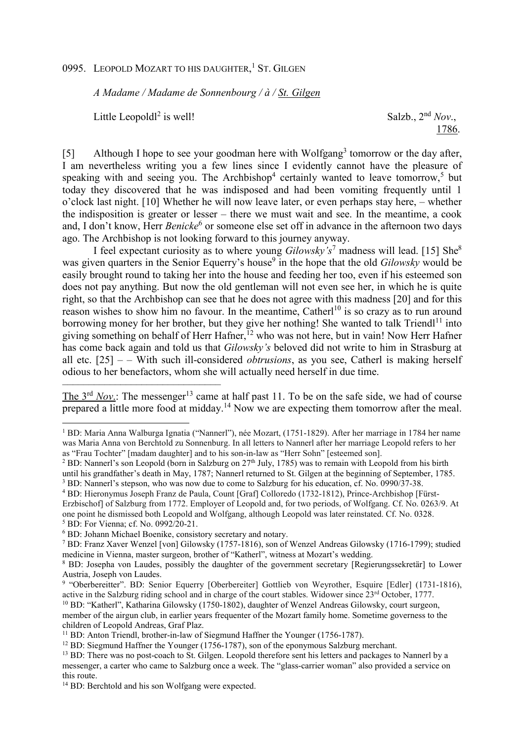0995. LEOPOLD MOZART TO HIS DAUGHTER,<sup>1</sup> ST. GILGEN

*A Madame / Madame de Sonnenbourg / à / St. Gilgen*

Little Leopold $l^2$  is well!

––––––––––––––––––––––––––––––

 $\overline{a}$ 

Salzb.,  $2<sup>nd</sup> Nov.$ 1786.

[5] Although I hope to see your goodman here with Wolfgang<sup>3</sup> tomorrow or the day after, I am nevertheless writing you a few lines since I evidently cannot have the pleasure of speaking with and seeing you. The Archbishop<sup>4</sup> certainly wanted to leave tomorrow,<sup>5</sup> but today they discovered that he was indisposed and had been vomiting frequently until 1 o'clock last night. [10] Whether he will now leave later, or even perhaps stay here, – whether the indisposition is greater or lesser – there we must wait and see. In the meantime, a cook and, I don't know, Herr *Benicke*<sup>6</sup> or someone else set off in advance in the afternoon two days ago. The Archbishop is not looking forward to this journey anyway.

I feel expectant curiosity as to where young *Gilowsky's*<sup>7</sup> madness will lead. [15] She<sup>8</sup> was given quarters in the Senior Equerry's house<sup>9</sup> in the hope that the old *Gilowsky* would be easily brought round to taking her into the house and feeding her too, even if his esteemed son does not pay anything. But now the old gentleman will not even see her, in which he is quite right, so that the Archbishop can see that he does not agree with this madness [20] and for this reason wishes to show him no favour. In the meantime, Catherl<sup>10</sup> is so crazy as to run around borrowing money for her brother, but they give her nothing! She wanted to talk Triendl<sup>11</sup> into giving something on behalf of Herr Hafner,<sup>12</sup> who was not here, but in vain! Now Herr Hafner has come back again and told us that *Gilowsky's* beloved did not write to him in Strasburg at all etc. [25] – – With such ill-considered *obtrusions*, as you see, Catherl is making herself odious to her benefactors, whom she will actually need herself in due time.

The  $3<sup>rd</sup> Nov.$ : The messenger<sup>13</sup> came at half past 11. To be on the safe side, we had of course prepared a little more food at midday.<sup>14</sup> Now we are expecting them tomorrow after the meal.

<sup>3</sup> BD: Nannerl's stepson, who was now due to come to Salzburg for his education, cf. No. 0990/37-38.

<sup>1</sup> BD: Maria Anna Walburga Ignatia ("Nannerl"), née Mozart, (1751-1829). After her marriage in 1784 her name was Maria Anna von Berchtold zu Sonnenburg. In all letters to Nannerl after her marriage Leopold refers to her as "Frau Tochter" [madam daughter] and to his son-in-law as "Herr Sohn" [esteemed son].

<sup>&</sup>lt;sup>2</sup> BD: Nannerl's son Leopold (born in Salzburg on  $27<sup>th</sup>$  July, 1785) was to remain with Leopold from his birth until his grandfather's death in May, 1787; Nannerl returned to St. Gilgen at the beginning of September, 1785.

<sup>4</sup> BD: Hieronymus Joseph Franz de Paula, Count [Graf] Colloredo (1732-1812), Prince-Archbishop [Fürst-Erzbischof] of Salzburg from 1772. Employer of Leopold and, for two periods, of Wolfgang. Cf. No. 0263/9. At one point he dismissed both Leopold and Wolfgang, although Leopold was later reinstated. Cf. No. 0328. 5 BD: For Vienna; cf. No. 0992/20-21.

<sup>6</sup> BD: Johann Michael Boenike, consistory secretary and notary.

<sup>7</sup> BD: Franz Xaver Wenzel [von] Gilowsky (1757-1816), son of Wenzel Andreas Gilowsky (1716-1799); studied medicine in Vienna, master surgeon, brother of "Katherl", witness at Mozart's wedding.

<sup>&</sup>lt;sup>8</sup> BD: Josepha von Laudes, possibly the daughter of the government secretary [Regierungssekretär] to Lower Austria, Joseph von Laudes.

<sup>&</sup>lt;sup>9</sup> "Oberbereitter". BD: Senior Equerry [Oberbereiter] Gottlieb von Weyrother, Esquire [Edler] (1731-1816), active in the Salzburg riding school and in charge of the court stables. Widower since 23rd October, 1777.

<sup>10</sup> BD: "Katherl", Katharina Gilowsky (1750-1802), daughter of Wenzel Andreas Gilowsky, court surgeon, member of the airgun club, in earlier years frequenter of the Mozart family home. Sometime governess to the children of Leopold Andreas, Graf Plaz.

<sup>&</sup>lt;sup>11</sup> BD: Anton Triendl, brother-in-law of Siegmund Haffner the Younger (1756-1787).

<sup>&</sup>lt;sup>12</sup> BD: Siegmund Haffner the Younger (1756-1787), son of the eponymous Salzburg merchant.

<sup>&</sup>lt;sup>13</sup> BD: There was no post-coach to St. Gilgen. Leopold therefore sent his letters and packages to Nannerl by a messenger, a carter who came to Salzburg once a week. The "glass-carrier woman" also provided a service on this route.

<sup>14</sup> BD: Berchtold and his son Wolfgang were expected.